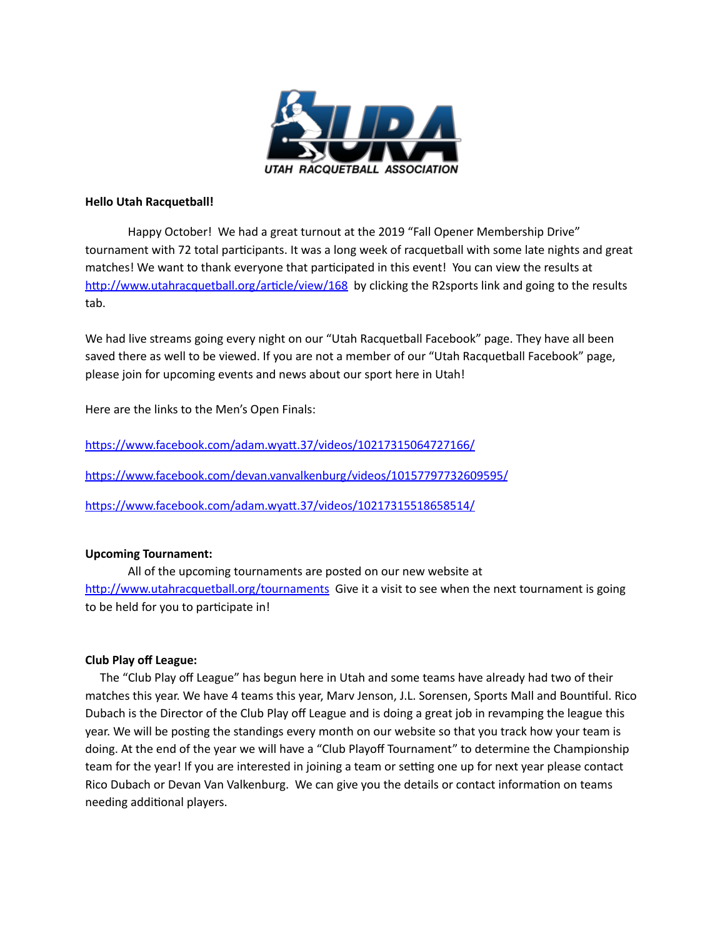

### **Hello Utah Racquetball!**

Happy October! We had a great turnout at the 2019 "Fall Opener Membership Drive" tournament with 72 total participants. It was a long week of racquetball with some late nights and great matches! We want to thank everyone that participated in this event! You can view the results at http://www.utahracquetball.org/article/view/168 by clicking the R2sports link and going to the results tab.

We had live streams going every night on our "Utah Racquetball Facebook" page. They have all been saved there as well to be viewed. If you are not a member of our "Utah Racquetball Facebook" page, please join for upcoming events and news about our sport here in Utah!

Here are the links to the Men's Open Finals:

https://www.facebook.com/adam.wyatt.37/videos/10217315064727166/

https://www.facebook.com/devan.vanvalkenburg/videos/10157797732609595/

https://www.facebook.com/adam.wyatt.37/videos/10217315518658514/

## **Upcoming Tournament:**

All of the upcoming tournaments are posted on our new website at http://www.utahracquetball.org/tournaments Give it a visit to see when the next tournament is going to be held for you to participate in!

## **Club Play off League:**

The "Club Play off League" has begun here in Utah and some teams have already had two of their matches this year. We have 4 teams this year, Marv Jenson, J.L. Sorensen, Sports Mall and Bountiful. Rico Dubach is the Director of the Club Play off League and is doing a great job in revamping the league this year. We will be posting the standings every month on our website so that you track how your team is doing. At the end of the year we will have a "Club Playoff Tournament" to determine the Championship team for the year! If you are interested in joining a team or setting one up for next year please contact Rico Dubach or Devan Van Valkenburg. We can give you the details or contact information on teams needing additional players.